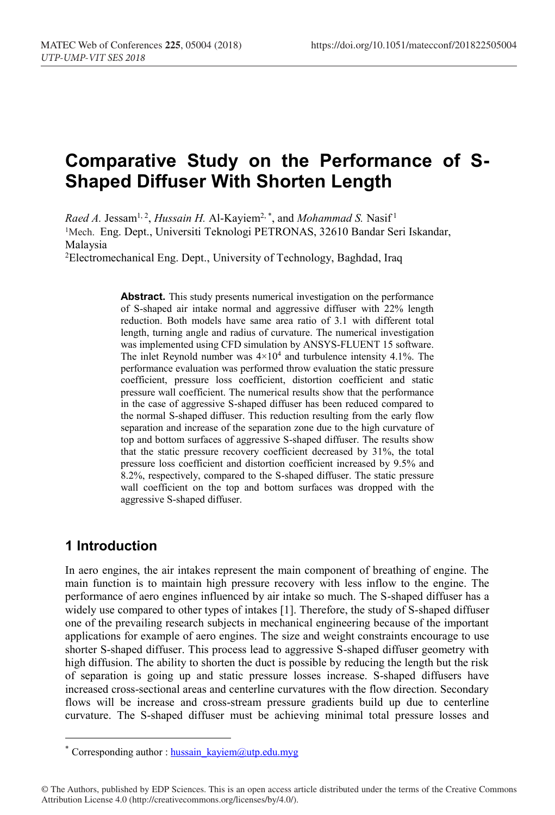# **Comparative Study on the Performance of S-Shaped Diffuser With Shorten Length**

*Raed A. Jessam<sup>1, 2</sup>, Hussain H. Al-Kayiem<sup>2, \*</sup>, and <i>Mohammad S. Nasif*<sup>1</sup> <sup>1</sup>Mech. Eng. Dept., Universiti Teknologi PETRONAS, 32610 Bandar Seri Iskandar, Malaysia

2 Electromechanical Eng. Dept., University of Technology, Baghdad, Iraq

**Abstract.** This study presents numerical investigation on the performance of S-shaped air intake normal and aggressive diffuser with 22% length reduction. Both models have same area ratio of 3.1 with different total length, turning angle and radius of curvature. The numerical investigation was implemented using CFD simulation by ANSYS-FLUENT 15 software. The inlet Reynold number was  $4 \times 10^4$  and turbulence intensity 4.1%. The performance evaluation was performed throw evaluation the static pressure coefficient, pressure loss coefficient, distortion coefficient and static pressure wall coefficient. The numerical results show that the performance in the case of aggressive S-shaped diffuser has been reduced compared to the normal S-shaped diffuser. This reduction resulting from the early flow separation and increase of the separation zone due to the high curvature of top and bottom surfaces of aggressive S-shaped diffuser. The results show that the static pressure recovery coefficient decreased by 31%, the total pressure loss coefficient and distortion coefficient increased by 9.5% and 8.2%, respectively, compared to the S-shaped diffuser. The static pressure wall coefficient on the top and bottom surfaces was dropped with the aggressive S-shaped diffuser.

# **1 Introduction**

In aero engines, the air intakes represent the main component of breathing of engine. The main function is to maintain high pressure recovery with less inflow to the engine. The performance of aero engines influenced by air intake so much. The S-shaped diffuser has a widely use compared to other types of intakes [1]. Therefore, the study of S-shaped diffuser one of the prevailing research subjects in mechanical engineering because of the important applications for example of aero engines. The size and weight constraints encourage to use shorter S-shaped diffuser. This process lead to aggressive S-shaped diffuser geometry with high diffusion. The ability to shorten the duct is possible by reducing the length but the risk of separation is going up and static pressure losses increase. S-shaped diffusers have increased cross-sectional areas and centerline curvatures with the flow direction. Secondary flows will be increase and cross-stream pressure gradients build up due to centerline curvature. The S-shaped diffuser must be achieving minimal total pressure losses and

<sup>\*</sup> Corresponding author : hussain kayiem@utp.edu.myg

<sup>©</sup> The Authors, published by EDP Sciences. This is an open access article distributed under the terms of the Creative Commons Attribution License 4.0 (http://creativecommons.org/licenses/by/4.0/).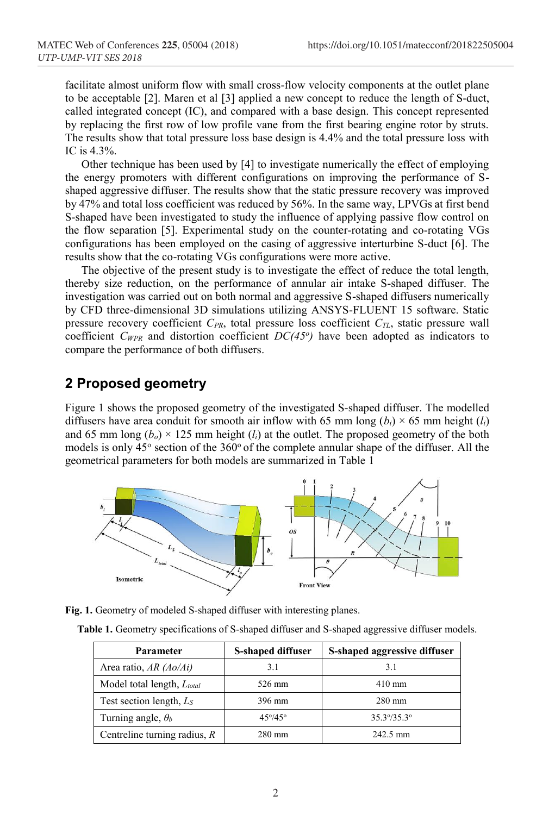facilitate almost uniform flow with small cross-flow velocity components at the outlet plane to be acceptable [2]. Maren et al [3] applied a new concept to reduce the length of S-duct, called integrated concept (IC), and compared with a base design. This concept represented by replacing the first row of low profile vane from the first bearing engine rotor by struts. The results show that total pressure loss base design is 4.4% and the total pressure loss with IC is  $4.3\%$ 

Other technique has been used by [4] to investigate numerically the effect of employing the energy promoters with different configurations on improving the performance of Sshaped aggressive diffuser. The results show that the static pressure recovery was improved by 47% and total loss coefficient was reduced by 56%. In the same way, LPVGs at first bend S-shaped have been investigated to study the influence of applying passive flow control on the flow separation [5]. Experimental study on the counter-rotating and co-rotating VGs configurations has been employed on the casing of aggressive interturbine S-duct [6]. The results show that the co-rotating VGs configurations were more active.

The objective of the present study is to investigate the effect of reduce the total length, thereby size reduction, on the performance of annular air intake S-shaped diffuser. The investigation was carried out on both normal and aggressive S-shaped diffusers numerically by CFD three-dimensional 3D simulations utilizing ANSYS-FLUENT 15 software. Static pressure recovery coefficient  $C_{PR}$ , total pressure loss coefficient  $C_{TL}$ , static pressure wall coefficient  $C_{WPR}$  and distortion coefficient  $DC(45^{\circ})$  have been adopted as indicators to compare the performance of both diffusers.

## **2 Proposed geometry**

Figure 1 shows the proposed geometry of the investigated S-shaped diffuser. The modelled diffusers have area conduit for smooth air inflow with 65 mm long  $(b_i) \times 65$  mm height  $(l_i)$ and 65 mm long  $(b_o) \times 125$  mm height  $(l_i)$  at the outlet. The proposed geometry of the both models is only  $45^{\circ}$  section of the  $360^{\circ}$  of the complete annular shape of the diffuser. All the geometrical parameters for both models are summarized in Table 1



**Fig. 1.** Geometry of modeled S-shaped diffuser with interesting planes.

**Table 1.** Geometry specifications of S-shaped diffuser and S-shaped aggressive diffuser models.

| <b>Parameter</b>               | S-shaped diffuser | S-shaped aggressive diffuser      |
|--------------------------------|-------------------|-----------------------------------|
| Area ratio, $AR(Ao/Ai)$        | 3.1               | 3.1                               |
| Model total length, Ltotal     | 526 mm            | $410$ mm                          |
| Test section length, $L_s$     | 396 mm            | $280$ mm                          |
| Turning angle, $\theta_b$      | $45\%45^{\circ}$  | $35.3\frac{9}{35.3}$ <sup>o</sup> |
| Centreline turning radius, $R$ | $280 \text{ mm}$  | $242.5 \text{ mm}$                |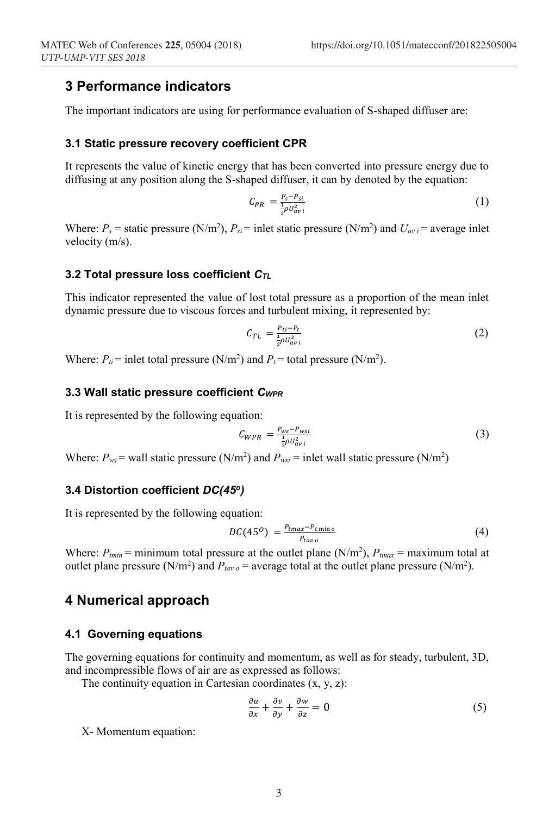# **3 Performance indicators**

The important indicators are using for performance evaluation of S-shaped diffuser are:

### **3.1 Static pressure recovery coefficient CPR**

It represents the value of kinetic energy that has been converted into pressure energy due to diffusing at any position along the S-shaped diffuser, it can by denoted by the equation:

$$
C_{PR} = \frac{P_s - P_{si}}{\frac{1}{2}\rho U_{avi}^2} \tag{1}
$$

Where:  $P_s$  = static pressure (N/m<sup>2</sup>),  $P_{si}$  = inlet static pressure (N/m<sup>2</sup>) and  $U_{av}$  *i* = average inlet velocity (m/s).

#### **3.2 Total pressure loss coefficient** *CTL*

This indicator represented the value of lost total pressure as a proportion of the mean inlet dynamic pressure due to viscous forces and turbulent mixing, it represented by:

$$
C_{TL} = \frac{P_{ti} - P_t}{\frac{1}{2}\rho U_{avi}^2}
$$
 (2)

Where:  $P_{ti}$  = inlet total pressure (N/m<sup>2</sup>) and  $P_t$  = total pressure (N/m<sup>2</sup>).

### **3.3 Wall static pressure coefficient** *CWPR*

It is represented by the following equation:

$$
C_{WPR} = \frac{P_{ws} - P_{ws}}{\frac{1}{2}\rho U_{av}^2} \tag{3}
$$

Where:  $P_{\text{ws}}$  = wall static pressure (N/m<sup>2</sup>) and  $P_{\text{ws}}$  = inlet wall static pressure (N/m<sup>2</sup>)

### **3.4 Distortion coefficient** *DC(45o)*

It is represented by the following equation:

$$
DC(45^O) = \frac{P_{tmax} - P_{tmin}}{P_{tavo}} \tag{4}
$$

Where:  $P_{\text{tmin}} =$  minimum total pressure at the outlet plane (N/m<sup>2</sup>),  $P_{\text{tmax}} =$  maximum total at outlet plane pressure ( $N/m^2$ ) and  $P_{tav, o}$  = average total at the outlet plane pressure ( $N/m^2$ ).

### **4 Numerical approach**

### **4.1 Governing equations**

The governing equations for continuity and momentum, as well as for steady, turbulent, 3D, and incompressible flows of air are as expressed as follows:

The continuity equation in Cartesian coordinates  $(x, y, z)$ :

$$
\frac{\partial u}{\partial x} + \frac{\partial v}{\partial y} + \frac{\partial w}{\partial z} = 0 \tag{5}
$$

X- Momentum equation: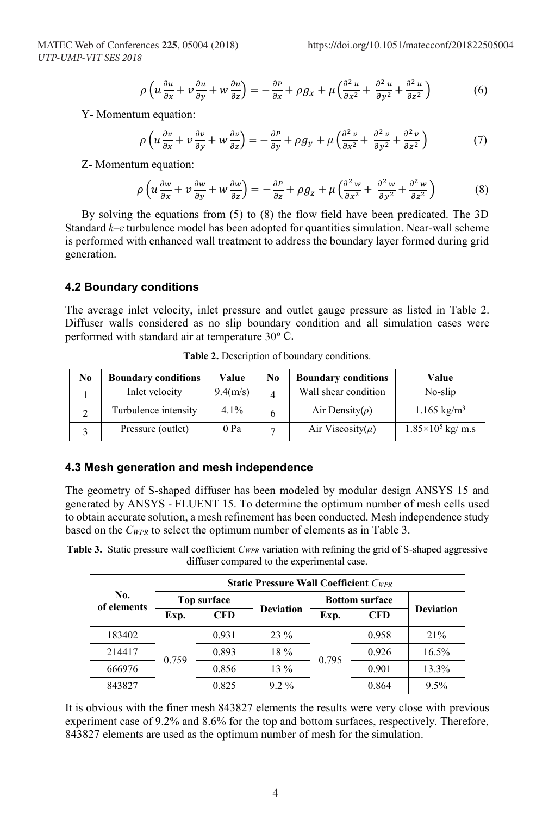$$
\rho \left( u \frac{\partial u}{\partial x} + v \frac{\partial u}{\partial y} + w \frac{\partial u}{\partial z} \right) = -\frac{\partial P}{\partial x} + \rho g_x + \mu \left( \frac{\partial^2 u}{\partial x^2} + \frac{\partial^2 u}{\partial y^2} + \frac{\partial^2 u}{\partial z^2} \right) \tag{6}
$$

Y- Momentum equation:

$$
\rho \left( u \frac{\partial v}{\partial x} + v \frac{\partial v}{\partial y} + w \frac{\partial v}{\partial z} \right) = -\frac{\partial P}{\partial y} + \rho g_y + \mu \left( \frac{\partial^2 v}{\partial x^2} + \frac{\partial^2 v}{\partial y^2} + \frac{\partial^2 v}{\partial z^2} \right) \tag{7}
$$

Z- Momentum equation:

$$
\rho \left( u \frac{\partial w}{\partial x} + v \frac{\partial w}{\partial y} + w \frac{\partial w}{\partial z} \right) = -\frac{\partial P}{\partial z} + \rho g_z + \mu \left( \frac{\partial^2 w}{\partial x^2} + \frac{\partial^2 w}{\partial y^2} + \frac{\partial^2 w}{\partial z^2} \right) \tag{8}
$$

By solving the equations from (5) to (8) the flow field have been predicated. The 3D Standard *k–ε* turbulence model has been adopted for quantities simulation. Near-wall scheme is performed with enhanced wall treatment to address the boundary layer formed during grid generation.

### **4.2 Boundary conditions**

The average inlet velocity, inlet pressure and outlet gauge pressure as listed in Table 2. Diffuser walls considered as no slip boundary condition and all simulation cases were performed with standard air at temperature  $30^{\circ}$  C.

| No. | <b>Boundary conditions</b> | Value    | No | <b>Boundary conditions</b> | Value                      |
|-----|----------------------------|----------|----|----------------------------|----------------------------|
|     | Inlet velocity             | 9.4(m/s) |    | Wall shear condition       | No-slip                    |
|     | Turbulence intensity       | 4.1%     |    | Air Density( $\rho$ )      | $1.165 \text{ kg/m}^3$     |
|     | Pressure (outlet)          | 0 Pa     |    | Air Viscosity $(\mu)$      | $1.85\times10^{5}$ kg/ m.s |

**Table 2.** Description of boundary conditions.

#### **4.3 Mesh generation and mesh independence**

The geometry of S-shaped diffuser has been modeled by modular design ANSYS 15 and generated by ANSYS - FLUENT 15. To determine the optimum number of mesh cells used to obtain accurate solution, a mesh refinement has been conducted. Mesh independence study based on the *CWPR* to select the optimum number of elements as in Table 3.

**Table 3.** Static pressure wall coefficient *CWPR* variation with refining the grid of S-shaped aggressive diffuser compared to the experimental case.

|                    | <b>Static Pressure Wall Coefficient CWPR</b> |            |                  |                       |            |                  |
|--------------------|----------------------------------------------|------------|------------------|-----------------------|------------|------------------|
| No.<br>of elements | Top surface                                  |            |                  | <b>Bottom surface</b> |            |                  |
|                    | Exp.                                         | <b>CFD</b> | <b>Deviation</b> | Exp.                  | <b>CFD</b> | <b>Deviation</b> |
| 183402             | 0.759                                        | 0.931      | 23 %             | 0.795                 | 0.958      | 21%              |
| 214417             |                                              | 0.893      | 18 %             |                       | 0.926      | 16.5%            |
| 666976             |                                              | 0.856      | 13 %             |                       | 0.901      | 13.3%            |
| 843827             |                                              | 0.825      | $9.2\%$          |                       | 0.864      | 9.5%             |

It is obvious with the finer mesh 843827 elements the results were very close with previous experiment case of 9.2% and 8.6% for the top and bottom surfaces, respectively. Therefore, 843827 elements are used as the optimum number of mesh for the simulation.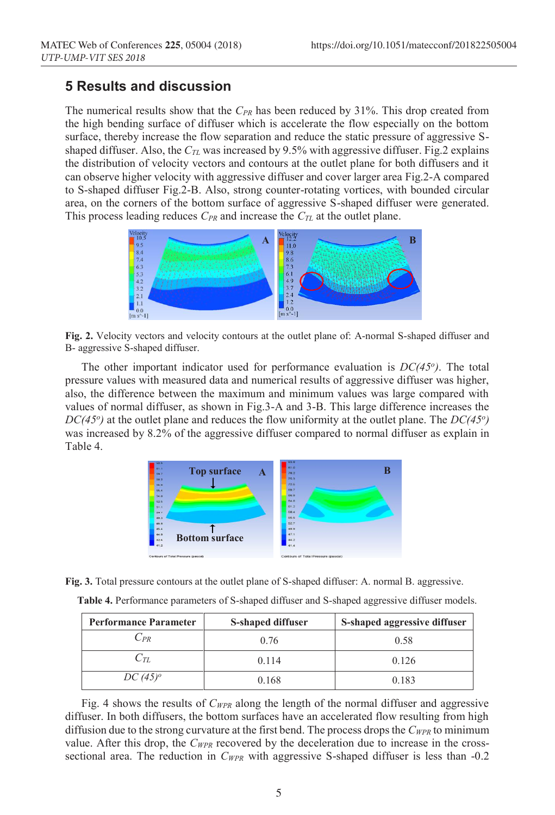# **5 Results and discussion**

The numerical results show that the  $C_{PR}$  has been reduced by 31%. This drop created from the high bending surface of diffuser which is accelerate the flow especially on the bottom surface, thereby increase the flow separation and reduce the static pressure of aggressive Sshaped diffuser. Also, the  $C_{TL}$  was increased by 9.5% with aggressive diffuser. Fig.2 explains the distribution of velocity vectors and contours at the outlet plane for both diffusers and it can observe higher velocity with aggressive diffuser and cover larger area Fig.2-A compared to S-shaped diffuser Fig.2-B. Also, strong counter-rotating vortices, with bounded circular area, on the corners of the bottom surface of aggressive S-shaped diffuser were generated. This process leading reduces  $C_{PR}$  and increase the  $C_{TL}$  at the outlet plane.



**Fig. 2.** Velocity vectors and velocity contours at the outlet plane of: A-normal S-shaped diffuser and B- aggressive S-shaped diffuser.

The other important indicator used for performance evaluation is  $DC(45^{\circ})$ . The total pressure values with measured data and numerical results of aggressive diffuser was higher, also, the difference between the maximum and minimum values was large compared with values of normal diffuser, as shown in Fig.3-A and 3-B. This large difference increases the  $DC(45^{\circ})$  at the outlet plane and reduces the flow uniformity at the outlet plane. The  $DC(45^{\circ})$ was increased by 8.2% of the aggressive diffuser compared to normal diffuser as explain in Table 4.



**Fig. 3.** Total pressure contours at the outlet plane of S-shaped diffuser: A. normal B. aggressive.

| Table 4. Performance parameters of S-shaped diffuser and S-shaped aggressive diffuser models. |
|-----------------------------------------------------------------------------------------------|
|-----------------------------------------------------------------------------------------------|

| <b>Performance Parameter</b> | S-shaped diffuser | S-shaped aggressive diffuser |
|------------------------------|-------------------|------------------------------|
| $C_{PR}$                     | 0.76              | 0.58                         |
| $C_{TL}$                     | 0.114             | 0.126                        |
| $DC(45)^{\circ}$             | 0.168             | 0.183                        |

Fig. 4 shows the results of *CWPR* along the length of the normal diffuser and aggressive diffuser. In both diffusers, the bottom surfaces have an accelerated flow resulting from high diffusion due to the strong curvature at the first bend. The process drops the  $C_{WPR}$  to minimum value. After this drop, the *CWPR* recovered by the deceleration due to increase in the crosssectional area. The reduction in  $C_{WPR}$  with aggressive S-shaped diffuser is less than -0.2